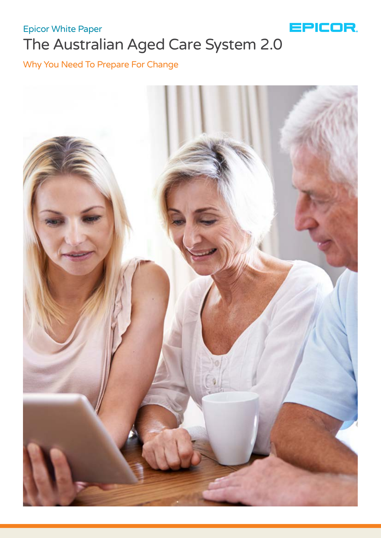

# The Australian Aged Care System 2.0 Epicor White Paper

# Why You Need To Prepare For Change

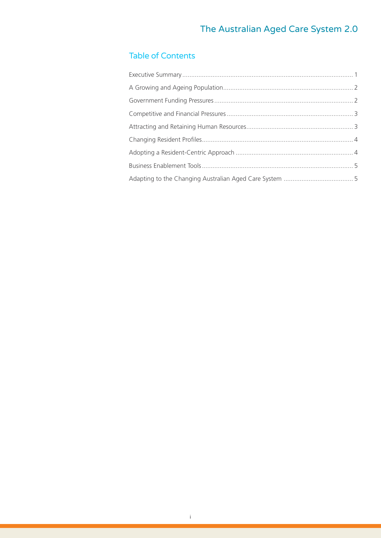# Table of Contents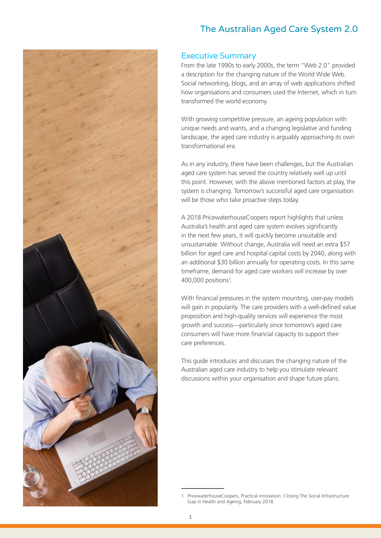<span id="page-2-0"></span>

#### Executive Summary

From the late 1990s to early 2000s, the term "Web 2.0" provided a description for the changing nature of the World Wide Web. Social networking, blogs, and an array of web applications shifted how organisations and consumers used the Internet, which in turn transformed the world economy.

With growing competitive pressure, an ageing population with unique needs and wants, and a changing legislative and funding landscape, the aged care industry is arguably approaching its own transformational era.

As in any industry, there have been challenges, but the Australian aged care system has served the country relatively well up until this point. However, with the above mentioned factors at play, the system is changing. Tomorrow's successful aged care organisation will be those who take proactive steps today.

A 2018 PricewaterhouseCoopers report highlights that unless Australia's health and aged care system evolves significantly in the next few years, it will quickly become unsuitable and unsustainable. Without change, Australia will need an extra \$57 billion for aged care and hospital capital costs by 2040, along with an additional \$30 billion annually for operating costs. In this same timeframe, demand for aged care workers will increase by over 400,000 positions<sup>1</sup> .

With financial pressures in the system mounting, user-pay models will gain in popularity. The care providers with a well-defined value proposition and high-quality services will experience the most growth and success—particularly since tomorrow's aged care consumers will have more financial capacity to support their care preferences.

This guide introduces and discusses the changing nature of the Australian aged care industry to help you stimulate relevant discussions within your organisation and shape future plans.

PricewaterhouseCoopers, Practical innovation: Closing The Social Infrastructure Gap in Health and Ageing, February 2018.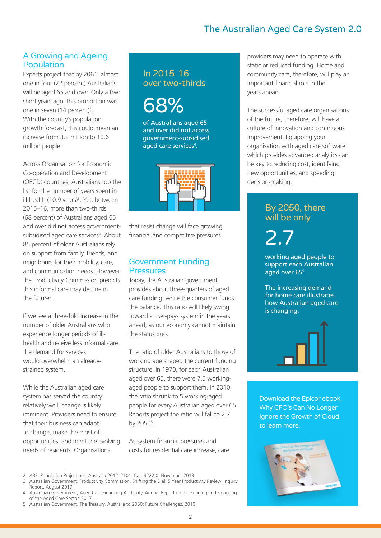#### <span id="page-3-0"></span>A Growing and Ageing Population

Experts project that by 2061, almost one in four (22 percent) Australians will be aged 65 and over. Only a few short years ago, this proportion was one in seven (14 percent)<sup>2</sup>. With the country's population growth forecast, this could mean an increase from 3.2 million to 10.6 million people.

Across Organisation for Economic Co-operation and Development (OECD) countries, Australians top the list for the number of years spent in ill-health (10.9 years)<sup>3</sup>. Yet, between 2015–16, more than two-thirds (68 percent) of Australians aged 65 and over did not access governmentsubsidised aged care services<sup>4</sup>. About 85 percent of older Australians rely on support from family, friends, and neighbours for their mobility, care, and communication needs. However, the Productivity Commission predicts this informal care may decline in the future<sup>4</sup>.

If we see a three-fold increase in the number of older Australians who experience longer periods of illhealth and receive less informal care, the demand for services would overwhelm an alreadystrained system.

While the Australian aged care system has served the country relatively well, change is likely imminent. Providers need to ensure that their business can adapt to change, make the most of opportunities, and meet the evolving needs of residents. Organisations

# In 2015-16 over two-thirds

68%

of Australians aged 65 and over did not access government-subsidised aged care services<sup>4</sup>.



that resist change will face growing financial and competitive pressures.

#### Government Funding **Pressures**

Today, the Australian government provides about three-quarters of aged care funding, while the consumer funds the balance. This ratio will likely swing toward a user-pays system in the years ahead, as our economy cannot maintain the status quo.

The ratio of older Australians to those of working age shaped the current funding structure. In 1970, for each Australian aged over 65, there were 7.5 workingaged people to support them. In 2010, the ratio shrunk to 5 working-aged people for every Australian aged over 65. Reports project the ratio will fall to 2.7 by 2050<sup>5</sup>.

As system financial pressures and costs for residential care increase, care providers may need to operate with static or reduced funding. Home and community care, therefore, will play an important financial role in the years ahead.

The successful aged care organisations of the future, therefore, will have a culture of innovation and continuous improvement. Equipping your organisation with aged care software which provides advanced analytics can be key to reducing cost, identifying new opportunities, and speeding decision-making.

#### By 2050, there will be only

2.7

working aged people to support each Australian aged over 65<sup>5</sup> .

The increasing demand for home care illustrates how Australian aged care is changing.



[Download the Epicor ebook,](https://epcr01mstrv980kprod.dxcloud.episerver.net/globalassets/sharepointassets/marketing%20resource%20library%20-%20wwwpubsites/documents/epicor-sls-cloud-ebook-anz.pdf)  Why CFO's Can No Longer Ignore the Growth of Cloud, to learn more.



<sup>2</sup> ABS, Population Projections, Australia 2012–2101. Cat. 3222.0. November 2013.

<sup>3</sup> Australian Government, Productivity Commission, Shifting the Dial: 5 Year Productivity Review, Inquiry Report, August 2017.

<sup>4</sup> Australian Government, Aged Care Financing Authority, Annual Report on the Funding and Financing of the Aged Care Sector, 2017.

<sup>5</sup> Australian Government, The Treasury, Australia to 2050: Future Challenges, 2010.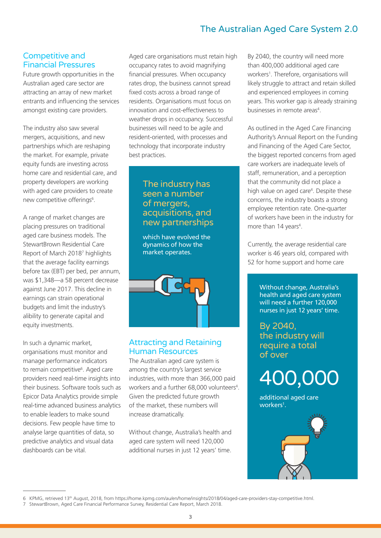#### <span id="page-4-0"></span>Competitive and Financial Pressures

Future growth opportunities in the Australian aged care sector are attracting an array of new market entrants and influencing the services amongst existing care providers.

The industry also saw several mergers, acquisitions, and new partnerships which are reshaping the market. For example, private equity funds are investing across home care and residential care, and property developers are working with aged care providers to create new competitive offerings<sup>6</sup>.

A range of market changes are placing pressures on traditional aged care business models. The StewartBrown Residential Care Report of March 2018<sup>7</sup> highlights that the average facility earnings before tax (EBT) per bed, per annum, was \$1,348—a 58 percent decrease against June 2017. This decline in earnings can strain operational budgets and limit the industry's alibility to generate capital and equity investments.

In such a dynamic market, organisations must monitor and manage performance indicators to remain competitive<sup>6</sup>. Aged care providers need real-time insights into their business. Software tools such as Epicor Data Analytics provide simple real-time advanced business analytics to enable leaders to make sound decisions. Few people have time to analyse large quantities of data, so predictive analytics and visual data dashboards can be vital.

Aged care organisations must retain high occupancy rates to avoid magnifying financial pressures. When occupancy rates drop, the business cannot spread fixed costs across a broad range of residents. Organisations must focus on innovation and cost-effectiveness to weather drops in occupancy. Successful businesses will need to be agile and resident-oriented, with processes and technology that incorporate industry best practices.

#### The industry has seen a number of mergers, acquisitions, and new partnerships

which have evolved the dynamics of how the market operates.



#### Attracting and Retaining Human Resources

The Australian aged care system is among the country's largest service industries, with more than 366,000 paid workers and a further 68,000 volunteers<sup>4</sup>. Given the predicted future growth of the market, these numbers will increase dramatically.

Without change, Australia's health and aged care system will need 120,000 additional nurses in just 12 years' time.

By 2040, the country will need more than 400,000 additional aged care workers<sup>1</sup>. Therefore, organisations will likely struggle to attract and retain skilled and experienced employees in coming years. This worker gap is already straining businesses in remote areas<sup>4</sup>.

As outlined in the Aged Care Financing Authority's Annual Report on the Funding and Financing of the Aged Care Sector, the biggest reported concerns from aged care workers are inadequate levels of staff, remuneration, and a perception that the community did not place a high value on aged care<sup>4</sup>. Despite these concerns, the industry boasts a strong employee retention rate. One-quarter of workers have been in the industry for more than 14 years<sup>4</sup>.

Currently, the average residential care worker is 46 years old, compared with 52 for home support and home care

> Without change, Australia's health and aged care system will need a further 120,000 nurses in just 12 years' time.

By 2040, the industry will require a total of over

400,000

additional aged care workers<sup>1</sup>.



<sup>6</sup> KPMG, retrieved 13th August, 2018, from https://home.kpmg.com/au/en/home/insights/2018/04/aged-care-providers-stay-competitive.html.

<sup>7</sup> StewartBrown, Aged Care Financial Performance Survey, Residential Care Report, March 2018.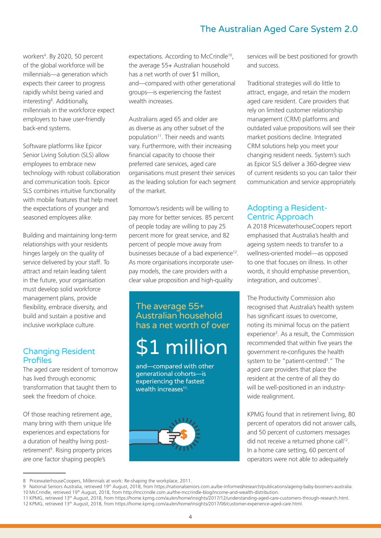workers<sup>4</sup> . By 2020, 50 percent of the global workforce will be millennials—a generation which expects their career to progress rapidly whilst being varied and interesting<sup>8</sup>. Additionally, millennials in the workforce expect employers to have user-friendly back-end systems.

Software platforms like Epicor Senior Living Solution (SLS) allow employees to embrace new technology with robust collaboration and communication tools. Epicor SLS combines intuitive functionality with mobile features that help meet the expectations of younger and seasoned employees alike.

Building and maintaining long-term relationships with your residents hinges largely on the quality of service delivered by your staff. To attract and retain leading talent in the future, your organisation must develop solid workforce management plans, provide flexibility, embrace diversity, and build and sustain a positive and inclusive workplace culture.

#### Changing Resident Profiles

The aged care resident of tomorrow has lived through economic transformation that taught them to seek the freedom of choice.

Of those reaching retirement age, many bring with them unique life experiences and expectations for a duration of healthy living postretirement<sup>9</sup>. Rising property prices are one factor shaping people's

expectations. According to McCrindle<sup>10</sup>, the average 55+ Australian household has a net worth of over \$1 million, and—compared with other generational groups—is experiencing the fastest wealth increases.

Australians aged 65 and older are as diverse as any other subset of the population<sup>11</sup>. Their needs and wants vary. Furthermore, with their increasing financial capacity to choose their preferred care services, aged care organisations must present their services as the leading solution for each segment of the market.

Tomorrow's residents will be willing to pay more for better services. 85 percent of people today are willing to pay 25 percent more for great service, and 82 percent of people move away from businesses because of a bad experience<sup>12</sup>. As more organisations incorporate userpay models, the care providers with a clear value proposition and high-quality

The average 55+ Australian household has a net worth of over

# \$1 million

and—compared with other generational cohorts—is experiencing the fastest wealth increases<sup>11.</sup>



services will be best positioned for growth and success.

Traditional strategies will do little to attract, engage, and retain the modern aged care resident. Care providers that rely on limited customer relationship management (CRM) platforms and outdated value propositions will see their market positions decline. Integrated CRM solutions help you meet your changing resident needs. System's such as Epicor SLS deliver a 360-degree view of current residents so you can tailor their communication and service appropriately.

#### Adopting a Resident-Centric Approach

A 2018 PricewaterhouseCoopers report emphasised that Australia's health and ageing system needs to transfer to a wellness-oriented model—as opposed to one that focuses on illness. In other words, it should emphasise prevention, integration, and outcomes<sup>1</sup>.

The Productivity Commission also recognised that Australia's health system has significant issues to overcome, noting its minimal focus on the patient experience<sup>3</sup>. As a result, the Commission recommended that within five years the government re-configures the health system to be "patient-centred<sup>3</sup>." The aged care providers that place the resident at the centre of all they do will be well-positioned in an industrywide realignment.

KPMG found that in retirement living, 80 percent of operators did not answer calls, and 50 percent of customers messages did not receive a returned phone call<sup>12</sup>. In a home care setting, 60 percent of operators were not able to adequately

<sup>8</sup> PricewaterhouseCoopers, Millennials at work: Re-shaping the workplace, 2011.

<sup>9</sup> National Seniors Australia, retrieved 19th August, 2018, from https://nationalseniors.com.au/be-informed/research/publications/ageing-baby-boomers-australia. 10 McCrindle, retrieved 19th August, 2018, from http://mccrindle.com.au/the-mccrindle-blog/income-and-wealth-distribution.

<sup>11</sup> KPMG, retrieved 13th August, 2018, from https://home.kpmg.com/au/en/home/insights/2017/12/understanding-aged-care-customers-through-research.html. 12 KPMG, retrieved 13th August, 2018, from https://home.kpmg.com/au/en/home/insights/2017/06/customer-experience-aged-care.html.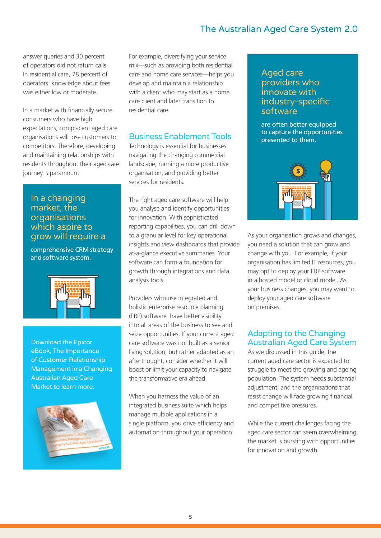<span id="page-6-0"></span>answer queries and 30 percent of operators did not return calls. In residential care, 78 percent of operators' knowledge about fees was either low or moderate.

In a market with financially secure consumers who have high expectations, complacent aged care organisations will lose customers to competitors. Therefore, developing and maintaining relationships with residents throughout their aged care journey is paramount.

#### In a changing market, the organisations which aspire to grow will require a

comprehensive CRM strategy and software system.



Download the Epicor eBook, The Importance of Customer Relationship [Management in a Changing](https://epcr01mstrv980kprod.dxcloud.episerver.net/globalassets/sharepointassets/marketing%20resource%20library%20-%20wwwpubsites/documents/epicor-crm-australian-aged-care-market-ebook-ens.pdf)  Australian Aged Care Market to learn more.



For example, diversifying your service mix—such as providing both residential care and home care services—helps you develop and maintain a relationship with a client who may start as a home care client and later transition to residential care.

#### Business Enablement Tools

Technology is essential for businesses navigating the changing commercial landscape, running a more productive organisation, and providing better services for residents.

The right aged care software will help you analyse and identify opportunities for innovation. With sophisticated reporting capabilities, you can drill down to a granular level for key operational insights and view dashboards that provide at-a-glance executive summaries. Your software can form a foundation for growth through integrations and data analysis tools.

Providers who use integrated and holistic enterprise resource planning (ERP) software have better visibility into all areas of the business to see and seize opportunities. If your current aged care software was not built as a senior living solution, but rather adapted as an afterthought, consider whether it will boost or limit your capacity to navigate the transformative era ahead.

When you harness the value of an integrated business suite which helps manage multiple applications in a single platform, you drive efficiency and automation throughout your operation.

#### Aged care providers who innovate with industry-specific software

are often better equipped to capture the opportunities presented to them.



As your organisation grows and changes, you need a solution that can grow and change with you. For example, if your organisation has limited IT resources, you may opt to deploy your ERP software in a hosted model or cloud model. As your business changes, you may want to deploy your aged care software on premises.

#### Adapting to the Changing Australian Aged Care System

As we discussed in this guide, the current aged care sector is expected to struggle to meet the growing and ageing population. The system needs substantial adjustment, and the organisations that resist change will face growing financial and competitive pressures.

While the current challenges facing the aged care sector can seem overwhelming, the market is bursting with opportunities for innovation and growth.